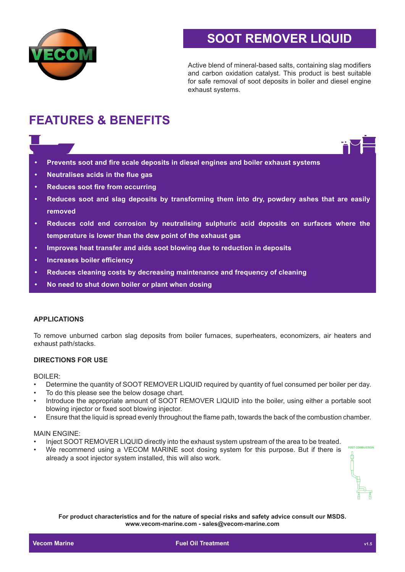

# **SOOT REMOVER LIQUID**

Active blend of mineral-based salts, containing slag modifiers and carbon oxidation catalyst. This product is best suitable for safe removal of soot deposits in boiler and diesel engine exhaust systems.

# **FEATURES & BENEFITS**

- **• Prevents soot and fire scale deposits in diesel engines and boiler exhaust systems**
- **• Neutralises acids in the flue gas**
- **• Reduces soot fire from occurring**
- **• Reduces soot and slag deposits by transforming them into dry, powdery ashes that are easily removed**
- **• Reduces cold end corrosion by neutralising sulphuric acid deposits on surfaces where the temperature is lower than the dew point of the exhaust gas**
- **• Improves heat transfer and aids soot blowing due to reduction in deposits**
- **• Increases boiler efficiency**
- **• Reduces cleaning costs by decreasing maintenance and frequency of cleaning**
- **• No need to shut down boiler or plant when dosing**

#### **APPLICATIONS**

To remove unburned carbon slag deposits from boiler furnaces, superheaters, economizers, air heaters and exhaust path/stacks.

#### **DIRECTIONS FOR USE**

#### BOILER:

- Determine the quantity of SOOT REMOVER LIQUID required by quantity of fuel consumed per boiler per day.
- To do this please see the below dosage chart.
- Introduce the appropriate amount of SOOT REMOVER LIQUID into the boiler, using either a portable soot blowing injector or fixed soot blowing injector.
- Ensure that the liquid is spread evenly throughout the flame path, towards the back of the combustion chamber.

#### MAIN ENGINE:

- Inject SOOT REMOVER LIQUID directly into the exhaust system upstream of the area to be treated.
- We recommend using a VECOM MARINE soot dosing system for this purpose. But if there is already a soot injector system installed, this will also work.

**DOCT COMPLICTION** 

**For product characteristics and for the nature of special risks and safety advice consult our MSDS. www.vecom-marine.com - sales@vecom-marine.com**